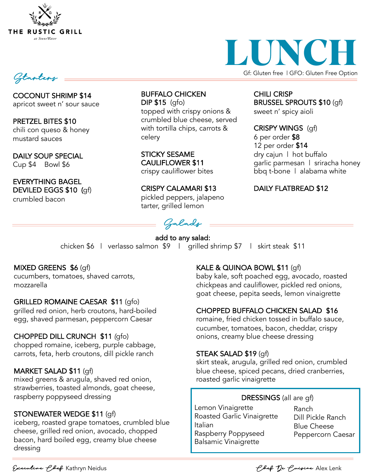



BRUSSEL SPROUTS \$10 (gf)

CHILI CRISP

sweet n' spicy aioli

CRISPY WINGS (gf)

dry cajun | hot buffalo

DAILY FLATBREAD \$12

garlic parmesan | sriracha honey bbq t-bone | alabama white

6 per order \$8 12 per order \$14

Starters

COCONUT SHRIMP \$14 apricot sweet n' sour sauce

PRETZEL BITES \$10 chili con queso & honey mustard sauces

DAILY SOUP SPECIAL Cup \$4 Bowl \$6

EVERYTHING BAGEL DEVILED EGGS \$10 (gf) crumbled bacon

BUFFALO CHICKEN DIP \$15 (gfo) topped with crispy onions & crumbled blue cheese, served with tortilla chips, carrots & celery

STICKY SESAME CAULIFLOWER \$11 crispy cauliflower bites

CRISPY CALAMARI \$13 pickled peppers, jalapeno tarter, grilled lemon

Salads

add to any salad: chicken \$6 | verlasso salmon \$9 | grilled shrimp \$7 | skirt steak \$11

### MIXED GREENS \$6 (gf)

cucumbers, tomatoes, shaved carrots, mozzarella

### GRILLED ROMAINE CAESAR \$11 (gfo)

grilled red onion, herb croutons, hard-boiled egg, shaved parmesan, peppercorn Caesar

### CHOPPED DILL CRUNCH \$11 *(*gfo)

chopped romaine, iceberg, purple cabbage, carrots, feta, herb croutons, dill pickle ranch

### MARKET SALAD \$11 (gf)

mixed greens & arugula, shaved red onion, strawberries, toasted almonds, goat cheese, raspberry poppyseed dressing

### STONEWATER WEDGE \$11 (gf)

iceberg, roasted grape tomatoes, crumbled blue cheese, grilled red onion, avocado, chopped bacon, hard boiled egg, creamy blue cheese dressing

### KALE & QUINOA BOWL \$11 (gf)

baby kale, soft poached egg, avocado, roasted chickpeas and cauliflower, pickled red onions, goat cheese, pepita seeds, lemon vinaigrette

### CHOPPED BUFFALO CHICKEN SALAD \$16

romaine, fried chicken tossed in buffalo sauce, cucumber, tomatoes, bacon, cheddar, crispy onions, creamy blue cheese dressing

### STEAK SALAD \$19 (gf)

skirt steak, arugula, grilled red onion, crumbled blue cheese, spiced pecans, dried cranberries, roasted garlic vinaigrette

### DRESSINGS (all are gf)

Lemon Vinaigrette Roasted Garlic Vinaigrette Italian Raspberry Poppyseed Balsamic Vinaigrette

Ranch Dill Pickle Ranch Blue Cheese Peppercorn Caesar

Executive Chef Kathryn Neidus Chef De Cuisine Alex Lenk